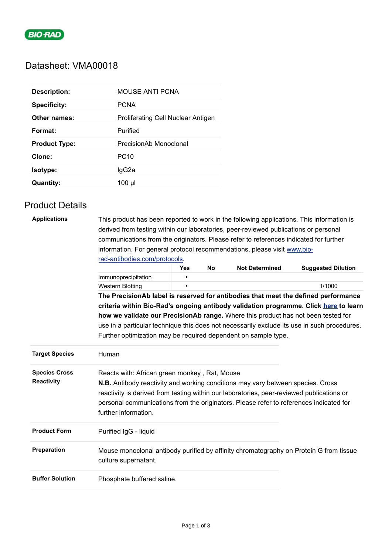

# Datasheet: VMA00018

| <b>Description:</b>  | MOUSE ANTI PCNA                    |
|----------------------|------------------------------------|
| <b>Specificity:</b>  | <b>PCNA</b>                        |
| Other names:         | Proliferating Cell Nuclear Antigen |
| Format:              | Purified                           |
|                      |                                    |
| <b>Product Type:</b> | PrecisionAb Monoclonal             |
| Clone:               | PC <sub>10</sub>                   |
| <b>Isotype:</b>      | lgG2a                              |

## Product Details

| <b>Applications</b>    | This product has been reported to work in the following applications. This information is<br>derived from testing within our laboratories, peer-reviewed publications or personal   |            |           |                       |                           |  |  |  |
|------------------------|-------------------------------------------------------------------------------------------------------------------------------------------------------------------------------------|------------|-----------|-----------------------|---------------------------|--|--|--|
|                        | communications from the originators. Please refer to references indicated for further                                                                                               |            |           |                       |                           |  |  |  |
|                        | information. For general protocol recommendations, please visit www.bio-<br>rad-antibodies.com/protocols.                                                                           |            |           |                       |                           |  |  |  |
|                        |                                                                                                                                                                                     |            |           |                       |                           |  |  |  |
|                        |                                                                                                                                                                                     | <b>Yes</b> | <b>No</b> | <b>Not Determined</b> | <b>Suggested Dilution</b> |  |  |  |
|                        | Immunoprecipitation                                                                                                                                                                 |            |           |                       |                           |  |  |  |
|                        | <b>Western Blotting</b>                                                                                                                                                             |            |           |                       | 1/1000                    |  |  |  |
|                        | The PrecisionAb label is reserved for antibodies that meet the defined performance                                                                                                  |            |           |                       |                           |  |  |  |
|                        | criteria within Bio-Rad's ongoing antibody validation programme. Click here to learn<br>how we validate our PrecisionAb range. Where this product has not been tested for           |            |           |                       |                           |  |  |  |
|                        | use in a particular technique this does not necessarily exclude its use in such procedures.                                                                                         |            |           |                       |                           |  |  |  |
|                        | Further optimization may be required dependent on sample type.                                                                                                                      |            |           |                       |                           |  |  |  |
| <b>Target Species</b>  | Human                                                                                                                                                                               |            |           |                       |                           |  |  |  |
| <b>Species Cross</b>   | Reacts with: African green monkey, Rat, Mouse                                                                                                                                       |            |           |                       |                           |  |  |  |
| <b>Reactivity</b>      | <b>N.B.</b> Antibody reactivity and working conditions may vary between species. Cross                                                                                              |            |           |                       |                           |  |  |  |
|                        | reactivity is derived from testing within our laboratories, peer-reviewed publications or<br>personal communications from the originators. Please refer to references indicated for |            |           |                       |                           |  |  |  |
|                        | further information.                                                                                                                                                                |            |           |                       |                           |  |  |  |
| <b>Product Form</b>    | Purified IgG - liquid                                                                                                                                                               |            |           |                       |                           |  |  |  |
| Preparation            | Mouse monoclonal antibody purified by affinity chromatography on Protein G from tissue<br>culture supernatant.                                                                      |            |           |                       |                           |  |  |  |
| <b>Buffer Solution</b> | Phosphate buffered saline.                                                                                                                                                          |            |           |                       |                           |  |  |  |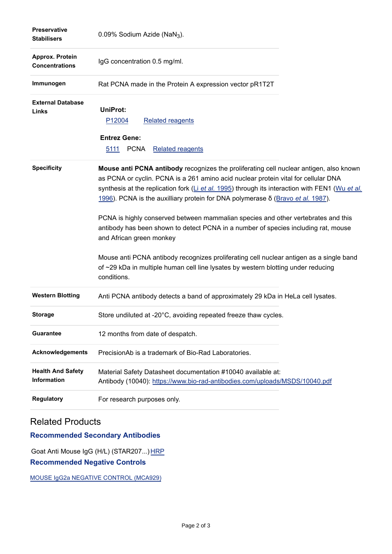| <b>Preservative</b><br><b>Stabilisers</b> | $0.09\%$ Sodium Azide (NaN <sub>3</sub> ).                                                                                                                                                                                                                                                                                                                                                                                                                                                                                                                                                                                                                                                                                                                                 |
|-------------------------------------------|----------------------------------------------------------------------------------------------------------------------------------------------------------------------------------------------------------------------------------------------------------------------------------------------------------------------------------------------------------------------------------------------------------------------------------------------------------------------------------------------------------------------------------------------------------------------------------------------------------------------------------------------------------------------------------------------------------------------------------------------------------------------------|
| Approx. Protein<br><b>Concentrations</b>  | IgG concentration 0.5 mg/ml.                                                                                                                                                                                                                                                                                                                                                                                                                                                                                                                                                                                                                                                                                                                                               |
| Immunogen                                 | Rat PCNA made in the Protein A expression vector pR1T2T                                                                                                                                                                                                                                                                                                                                                                                                                                                                                                                                                                                                                                                                                                                    |
| <b>External Database</b><br>Links         | <b>UniProt:</b><br>P12004<br><b>Related reagents</b><br><b>Entrez Gene:</b><br>5111<br><b>PCNA</b><br><b>Related reagents</b>                                                                                                                                                                                                                                                                                                                                                                                                                                                                                                                                                                                                                                              |
| <b>Specificity</b>                        | Mouse anti PCNA antibody recognizes the proliferating cell nuclear antigen, also known<br>as PCNA or cyclin. PCNA is a 261 amino acid nuclear protein vital for cellular DNA<br>synthesis at the replication fork $(L)$ et al. 1995) through its interaction with FEN1 (Wu et al.<br>1996). PCNA is the auxilliary protein for DNA polymerase δ (Bravo et al. 1987).<br>PCNA is highly conserved between mammalian species and other vertebrates and this<br>antibody has been shown to detect PCNA in a number of species including rat, mouse<br>and African green monkey<br>Mouse anti PCNA antibody recognizes proliferating cell nuclear antigen as a single band<br>of ~29 kDa in multiple human cell line lysates by western blotting under reducing<br>conditions. |
| <b>Western Blotting</b>                   | Anti PCNA antibody detects a band of approximately 29 kDa in HeLa cell lysates.                                                                                                                                                                                                                                                                                                                                                                                                                                                                                                                                                                                                                                                                                            |
| <b>Storage</b>                            | Store undiluted at -20°C, avoiding repeated freeze thaw cycles.                                                                                                                                                                                                                                                                                                                                                                                                                                                                                                                                                                                                                                                                                                            |
| <b>Guarantee</b>                          | 12 months from date of despatch.                                                                                                                                                                                                                                                                                                                                                                                                                                                                                                                                                                                                                                                                                                                                           |
| <b>Acknowledgements</b>                   | PrecisionAb is a trademark of Bio-Rad Laboratories.                                                                                                                                                                                                                                                                                                                                                                                                                                                                                                                                                                                                                                                                                                                        |
| <b>Health And Safety</b><br>Information   | Material Safety Datasheet documentation #10040 available at:<br>Antibody (10040): https://www.bio-rad-antibodies.com/uploads/MSDS/10040.pdf                                                                                                                                                                                                                                                                                                                                                                                                                                                                                                                                                                                                                                |
| <b>Regulatory</b>                         | For research purposes only.                                                                                                                                                                                                                                                                                                                                                                                                                                                                                                                                                                                                                                                                                                                                                |

### Related Products

#### **Recommended Secondary Antibodies**

Goat Anti Mouse IgG (H/L) (STAR207...) [HRP](https://www.bio-rad-antibodies.com/polyclonal/mouse-igg-antibody-star207.html) **Recommended Negative Controls**

[MOUSE IgG2a NEGATIVE CONTROL \(MCA929\)](https://www.bio-rad-antibodies.com/control/mouse-igg2a-negative-control-mca929.html)